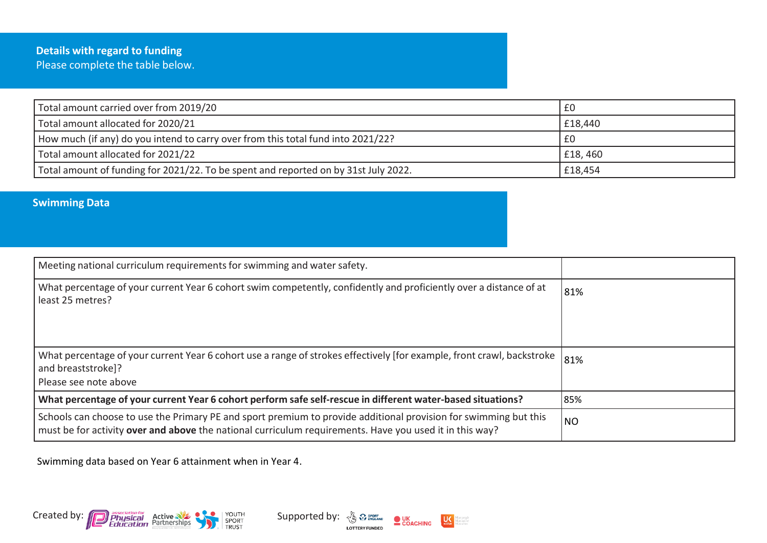## **Details with regard to funding** Please complete the table below.

| Total amount carried over from 2019/20                                              | £0      |
|-------------------------------------------------------------------------------------|---------|
| Total amount allocated for 2020/21                                                  | £18,440 |
| How much (if any) do you intend to carry over from this total fund into 2021/22?    | £0      |
| Total amount allocated for 2021/22                                                  | £18,460 |
| Total amount of funding for 2021/22. To be spent and reported on by 31st July 2022. | £18,454 |

## **Swimming Data**

| Meeting national curriculum requirements for swimming and water safety.                                                                                                                                                     |           |
|-----------------------------------------------------------------------------------------------------------------------------------------------------------------------------------------------------------------------------|-----------|
| What percentage of your current Year 6 cohort swim competently, confidently and proficiently over a distance of at<br>least 25 metres?                                                                                      | 81%       |
| What percentage of your current Year 6 cohort use a range of strokes effectively [for example, front crawl, backstroke<br>and breaststroke]?<br>Please see note above                                                       | 81%       |
| What percentage of your current Year 6 cohort perform safe self-rescue in different water-based situations?                                                                                                                 | 85%       |
| Schools can choose to use the Primary PE and sport premium to provide additional provision for swimming but this<br>must be for activity over and above the national curriculum requirements. Have you used it in this way? | <b>NO</b> |

 $\bullet$  UK<br>COACHING

**LOTTERY FUNDED** 

 $\frac{1}{\omega}$ 

Swimming data based on Year 6 attainment when in Year 4.

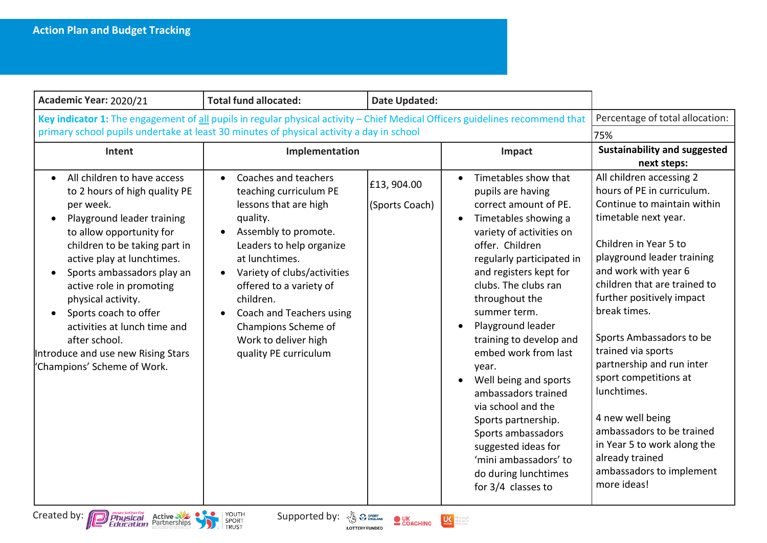| Academic Year: 2020/21                                                                                                                                                                                                                                                                                                                                                                                                                         | <b>Total fund allocated:</b>                                                                                                                                                                                                                                                                                                                                   | <b>Date Updated:</b>         |                                                                                                                                                                                                                                                                                                                                                                                                                                                                                                                                                                                                     |                                                                                                                                                                                                                                                                                                                                                                                                                                                                                                                                                |
|------------------------------------------------------------------------------------------------------------------------------------------------------------------------------------------------------------------------------------------------------------------------------------------------------------------------------------------------------------------------------------------------------------------------------------------------|----------------------------------------------------------------------------------------------------------------------------------------------------------------------------------------------------------------------------------------------------------------------------------------------------------------------------------------------------------------|------------------------------|-----------------------------------------------------------------------------------------------------------------------------------------------------------------------------------------------------------------------------------------------------------------------------------------------------------------------------------------------------------------------------------------------------------------------------------------------------------------------------------------------------------------------------------------------------------------------------------------------------|------------------------------------------------------------------------------------------------------------------------------------------------------------------------------------------------------------------------------------------------------------------------------------------------------------------------------------------------------------------------------------------------------------------------------------------------------------------------------------------------------------------------------------------------|
| Key indicator 1: The engagement of all pupils in regular physical activity - Chief Medical Officers guidelines recommend that<br>primary school pupils undertake at least 30 minutes of physical activity a day in school                                                                                                                                                                                                                      |                                                                                                                                                                                                                                                                                                                                                                |                              |                                                                                                                                                                                                                                                                                                                                                                                                                                                                                                                                                                                                     | Percentage of total allocation:<br>75%                                                                                                                                                                                                                                                                                                                                                                                                                                                                                                         |
| Intent                                                                                                                                                                                                                                                                                                                                                                                                                                         | Implementation                                                                                                                                                                                                                                                                                                                                                 |                              | Impact                                                                                                                                                                                                                                                                                                                                                                                                                                                                                                                                                                                              | <b>Sustainability and suggested</b><br>next steps:                                                                                                                                                                                                                                                                                                                                                                                                                                                                                             |
| All children to have access<br>$\bullet$<br>to 2 hours of high quality PE<br>per week.<br>Playground leader training<br>to allow opportunity for<br>children to be taking part in<br>active play at lunchtimes.<br>Sports ambassadors play an<br>active role in promoting<br>physical activity.<br>Sports coach to offer<br>activities at lunch time and<br>after school.<br>Introduce and use new Rising Stars<br>'Champions' Scheme of Work. | Coaches and teachers<br>teaching curriculum PE<br>lessons that are high<br>quality.<br>Assembly to promote.<br>$\bullet$<br>Leaders to help organize<br>at lunchtimes.<br>Variety of clubs/activities<br>$\bullet$<br>offered to a variety of<br>children.<br>Coach and Teachers using<br>Champions Scheme of<br>Work to deliver high<br>quality PE curriculum | £13,904.00<br>(Sports Coach) | Timetables show that<br>pupils are having<br>correct amount of PE.<br>Timetables showing a<br>$\bullet$<br>variety of activities on<br>offer. Children<br>regularly participated in<br>and registers kept for<br>clubs. The clubs ran<br>throughout the<br>summer term.<br>Playground leader<br>$\bullet$<br>training to develop and<br>embed work from last<br>year.<br>Well being and sports<br>$\bullet$<br>ambassadors trained<br>via school and the<br>Sports partnership.<br>Sports ambassadors<br>suggested ideas for<br>'mini ambassadors' to<br>do during lunchtimes<br>for 3/4 classes to | All children accessing 2<br>hours of PE in curriculum.<br>Continue to maintain within<br>timetable next year.<br>Children in Year 5 to<br>playground leader training<br>and work with year 6<br>children that are trained to<br>further positively impact<br>break times.<br>Sports Ambassadors to be<br>trained via sports<br>partnership and run inter<br>sport competitions at<br>lunchtimes.<br>4 new well being<br>ambassadors to be trained<br>in Year 5 to work along the<br>already trained<br>ambassadors to implement<br>more ideas! |



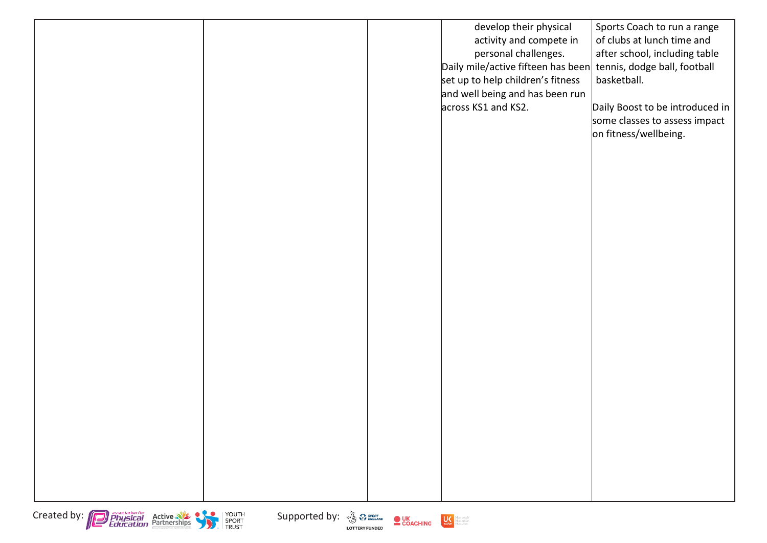|  | develop their physical                                          | Sports Coach to run a range     |
|--|-----------------------------------------------------------------|---------------------------------|
|  | activity and compete in                                         | of clubs at lunch time and      |
|  | personal challenges.                                            | after school, including table   |
|  | Daily mile/active fifteen has been tennis, dodge ball, football |                                 |
|  | set up to help children's fitness                               | basketball.                     |
|  | and well being and has been run                                 |                                 |
|  | across KS1 and KS2.                                             | Daily Boost to be introduced in |
|  |                                                                 | some classes to assess impact   |
|  |                                                                 | on fitness/wellbeing.           |
|  |                                                                 |                                 |
|  |                                                                 |                                 |
|  |                                                                 |                                 |
|  |                                                                 |                                 |
|  |                                                                 |                                 |
|  |                                                                 |                                 |
|  |                                                                 |                                 |
|  |                                                                 |                                 |
|  |                                                                 |                                 |
|  |                                                                 |                                 |
|  |                                                                 |                                 |
|  |                                                                 |                                 |
|  |                                                                 |                                 |
|  |                                                                 |                                 |
|  |                                                                 |                                 |
|  |                                                                 |                                 |
|  |                                                                 |                                 |
|  |                                                                 |                                 |
|  |                                                                 |                                 |
|  |                                                                 |                                 |
|  |                                                                 |                                 |
|  |                                                                 |                                 |
|  |                                                                 |                                 |
|  |                                                                 |                                 |
|  |                                                                 |                                 |
|  |                                                                 |                                 |
|  |                                                                 |                                 |
|  |                                                                 |                                 |





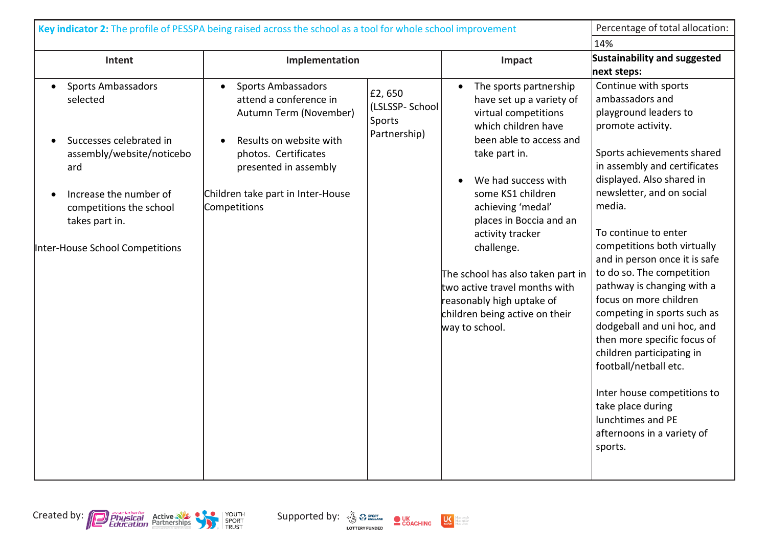| Key indicator 2: The profile of PESSPA being raised across the school as a tool for whole school improvement                                                                                                   |                                                                                                                                                                                                                             |                                                    |                                                                                                                                                                                                                                                                                                                                                                                                                                    | Percentage of total allocation:                                                                                                                                                                                                                                                                                                                                                                                                                                                                                                                                                                                                                                          |
|----------------------------------------------------------------------------------------------------------------------------------------------------------------------------------------------------------------|-----------------------------------------------------------------------------------------------------------------------------------------------------------------------------------------------------------------------------|----------------------------------------------------|------------------------------------------------------------------------------------------------------------------------------------------------------------------------------------------------------------------------------------------------------------------------------------------------------------------------------------------------------------------------------------------------------------------------------------|--------------------------------------------------------------------------------------------------------------------------------------------------------------------------------------------------------------------------------------------------------------------------------------------------------------------------------------------------------------------------------------------------------------------------------------------------------------------------------------------------------------------------------------------------------------------------------------------------------------------------------------------------------------------------|
|                                                                                                                                                                                                                |                                                                                                                                                                                                                             |                                                    |                                                                                                                                                                                                                                                                                                                                                                                                                                    | 14%                                                                                                                                                                                                                                                                                                                                                                                                                                                                                                                                                                                                                                                                      |
| Intent                                                                                                                                                                                                         | Implementation                                                                                                                                                                                                              |                                                    | Impact                                                                                                                                                                                                                                                                                                                                                                                                                             | Sustainability and suggested<br>next steps:                                                                                                                                                                                                                                                                                                                                                                                                                                                                                                                                                                                                                              |
| <b>Sports Ambassadors</b><br>selected<br>Successes celebrated in<br>assembly/website/noticebo<br>ard<br>Increase the number of<br>competitions the school<br>takes part in.<br>Inter-House School Competitions | <b>Sports Ambassadors</b><br>$\bullet$<br>attend a conference in<br>Autumn Term (November)<br>Results on website with<br>photos. Certificates<br>presented in assembly<br>Children take part in Inter-House<br>Competitions | £2,650<br>(LSLSSP-School<br>Sports<br>Partnership) | The sports partnership<br>have set up a variety of<br>virtual competitions<br>which children have<br>been able to access and<br>take part in.<br>We had success with<br>some KS1 children<br>achieving 'medal'<br>places in Boccia and an<br>activity tracker<br>challenge.<br>The school has also taken part in<br>two active travel months with<br>reasonably high uptake of<br>children being active on their<br>way to school. | Continue with sports<br>ambassadors and<br>playground leaders to<br>promote activity.<br>Sports achievements shared<br>in assembly and certificates<br>displayed. Also shared in<br>newsletter, and on social<br>media.<br>To continue to enter<br>competitions both virtually<br>and in person once it is safe<br>to do so. The competition<br>pathway is changing with a<br>focus on more children<br>competing in sports such as<br>dodgeball and uni hoc, and<br>then more specific focus of<br>children participating in<br>football/netball etc.<br>Inter house competitions to<br>take place during<br>lunchtimes and PE<br>afternoons in a variety of<br>sports. |





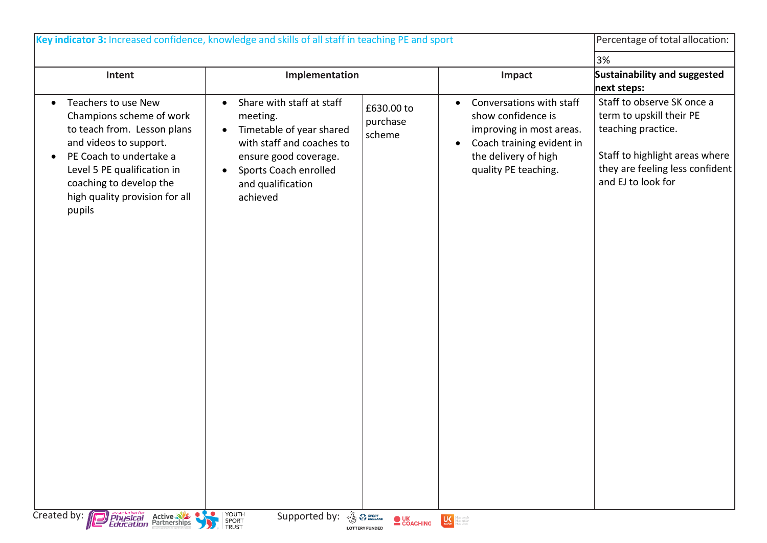| Key indicator 3: Increased confidence, knowledge and skills of all staff in teaching PE and sport                                                                                                                                                      |                                                                                                                                                                                                                          |                                                             |                                                                                                                                                                      | Percentage of total allocation:                                                                                                                                         |
|--------------------------------------------------------------------------------------------------------------------------------------------------------------------------------------------------------------------------------------------------------|--------------------------------------------------------------------------------------------------------------------------------------------------------------------------------------------------------------------------|-------------------------------------------------------------|----------------------------------------------------------------------------------------------------------------------------------------------------------------------|-------------------------------------------------------------------------------------------------------------------------------------------------------------------------|
|                                                                                                                                                                                                                                                        |                                                                                                                                                                                                                          |                                                             |                                                                                                                                                                      | 3%                                                                                                                                                                      |
| Intent                                                                                                                                                                                                                                                 | Implementation                                                                                                                                                                                                           |                                                             | Impact                                                                                                                                                               | Sustainability and suggested<br>next steps:                                                                                                                             |
| Teachers to use New<br>$\bullet$<br>Champions scheme of work<br>to teach from. Lesson plans<br>and videos to support.<br>PE Coach to undertake a<br>Level 5 PE qualification in<br>coaching to develop the<br>high quality provision for all<br>pupils | Share with staff at staff<br>$\bullet$<br>meeting.<br>Timetable of year shared<br>$\bullet$<br>with staff and coaches to<br>ensure good coverage.<br>Sports Coach enrolled<br>$\bullet$<br>and qualification<br>achieved | £630.00 to<br>purchase<br>scheme                            | Conversations with staff<br>$\bullet$<br>show confidence is<br>improving in most areas.<br>Coach training evident in<br>the delivery of high<br>quality PE teaching. | Staff to observe SK once a<br>term to upskill their PE<br>teaching practice.<br>Staff to highlight areas where<br>they are feeling less confident<br>and EJ to look for |
| Created by: <b>Physical</b> Active                                                                                                                                                                                                                     | YOUTH<br><u>vo</u><br>SPORT<br>TRUST                                                                                                                                                                                     | $\bullet$ UK<br>$\bullet$ COACHING<br><b>LOTTERY FUNDED</b> | <b>CALC Margaret Administration</b>                                                                                                                                  |                                                                                                                                                                         |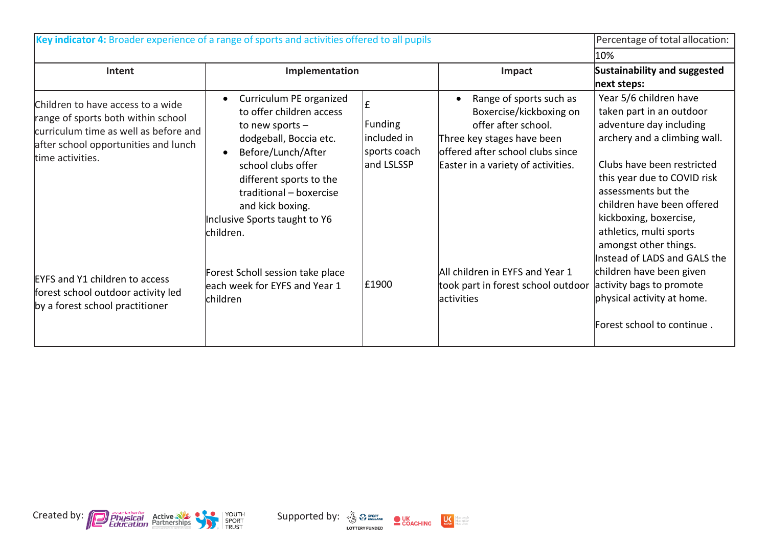| Key indicator 4: Broader experience of a range of sports and activities offered to all pupils |                                  |              | Percentage of total allocation:      |                              |
|-----------------------------------------------------------------------------------------------|----------------------------------|--------------|--------------------------------------|------------------------------|
|                                                                                               |                                  |              |                                      | 10%                          |
| <b>Intent</b>                                                                                 | Implementation                   |              | Impact                               | Sustainability and suggested |
|                                                                                               |                                  |              |                                      | next steps:                  |
| Children to have access to a wide                                                             | Curriculum PE organized          | £            | Range of sports such as<br>$\bullet$ | Year 5/6 children have       |
| range of sports both within school                                                            | to offer children access         |              | Boxercise/kickboxing on              | taken part in an outdoor     |
| curriculum time as well as before and                                                         | to new sports $-$                | Funding      | offer after school.                  | adventure day including      |
| after school opportunities and lunch                                                          | dodgeball, Boccia etc.           | included in  | Three key stages have been           | archery and a climbing wall. |
| time activities.                                                                              | Before/Lunch/After<br>$\bullet$  | sports coach | offered after school clubs since     |                              |
|                                                                                               | school clubs offer               | and LSLSSP   | Easter in a variety of activities.   | Clubs have been restricted   |
|                                                                                               | different sports to the          |              |                                      | this year due to COVID risk  |
|                                                                                               | traditional - boxercise          |              |                                      | assessments but the          |
|                                                                                               | and kick boxing.                 |              |                                      | children have been offered   |
|                                                                                               | Inclusive Sports taught to Y6    |              |                                      | kickboxing, boxercise,       |
|                                                                                               | lchildren.                       |              |                                      | athletics, multi sports      |
|                                                                                               |                                  |              |                                      | amongst other things.        |
|                                                                                               |                                  |              |                                      | Instead of LADS and GALS the |
| <b>EYFS and Y1 children to access</b>                                                         | Forest Scholl session take place | £1900        | All children in EYFS and Year 1      | children have been given     |
| forest school outdoor activity led                                                            | each week for EYFS and Year 1    |              | took part in forest school outdoor   | activity bags to promote     |
| by a forest school practitioner                                                               | children                         |              | <b>lactivities</b>                   | physical activity at home.   |
|                                                                                               |                                  |              |                                      | Forest school to continue.   |





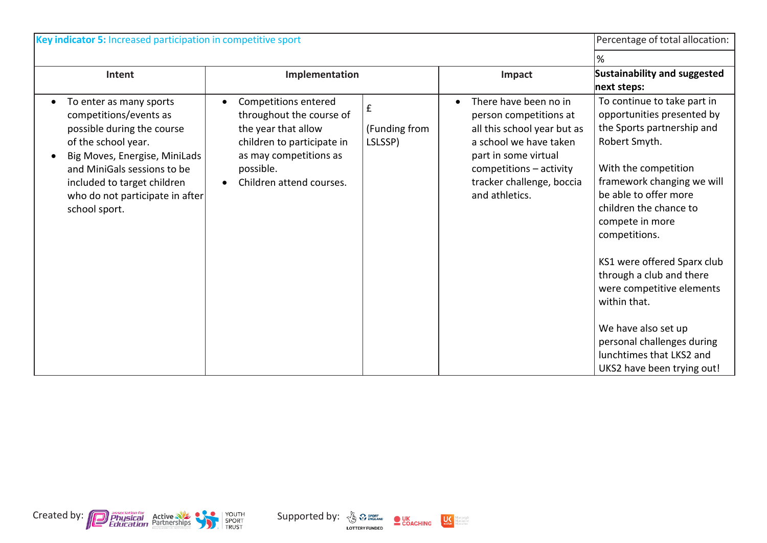| Key indicator 5: Increased participation in competitive sport                                                                                                                                                                                             |                                                                                                                                                                                       |                               |                                                                                                                                                                                                            | Percentage of total allocation:                                                                                                                                                                                                                                                                                                                                                                                                                                              |
|-----------------------------------------------------------------------------------------------------------------------------------------------------------------------------------------------------------------------------------------------------------|---------------------------------------------------------------------------------------------------------------------------------------------------------------------------------------|-------------------------------|------------------------------------------------------------------------------------------------------------------------------------------------------------------------------------------------------------|------------------------------------------------------------------------------------------------------------------------------------------------------------------------------------------------------------------------------------------------------------------------------------------------------------------------------------------------------------------------------------------------------------------------------------------------------------------------------|
|                                                                                                                                                                                                                                                           |                                                                                                                                                                                       |                               |                                                                                                                                                                                                            | %                                                                                                                                                                                                                                                                                                                                                                                                                                                                            |
| Intent                                                                                                                                                                                                                                                    | Implementation                                                                                                                                                                        |                               | Impact                                                                                                                                                                                                     | Sustainability and suggested<br>next steps:                                                                                                                                                                                                                                                                                                                                                                                                                                  |
| To enter as many sports<br>competitions/events as<br>possible during the course<br>of the school year.<br>Big Moves, Energise, MiniLads<br>and MiniGals sessions to be<br>included to target children<br>who do not participate in after<br>school sport. | Competitions entered<br>$\bullet$<br>throughout the course of<br>the year that allow<br>children to participate in<br>as may competitions as<br>possible.<br>Children attend courses. | £<br>(Funding from<br>LSLSSP) | There have been no in<br>person competitions at<br>all this school year but as<br>a school we have taken<br>part in some virtual<br>competitions - activity<br>tracker challenge, boccia<br>and athletics. | To continue to take part in<br>opportunities presented by<br>the Sports partnership and<br>Robert Smyth.<br>With the competition<br>framework changing we will<br>be able to offer more<br>children the chance to<br>compete in more<br>competitions.<br>KS1 were offered Sparx club<br>through a club and there<br>were competitive elements<br>within that.<br>We have also set up<br>personal challenges during<br>lunchtimes that LKS2 and<br>UKS2 have been trying out! |